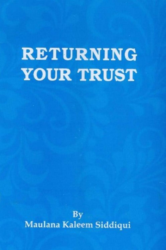# **RETURNING YOUR TRUST**

**By** Maulana Kaleem Siddiqui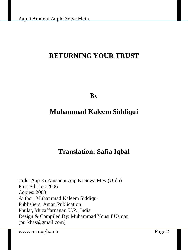# **RETURNING YOUR TRUST**

**By**

# **Muhammad Kaleem Siddiqui**

# **Translation: Safia Iqbal**

Title: Aap Ki Amaanat Aap Ki Sewa Mey (Urdu) First Edition: 2006 Copies: 2000 Author: Muhammad Kaleem Siddiqui Publishers: Aman Publication Phulat, Muzaffarnagar, U.P., India Design & Compiled By: Muhammad Yousuf Usman (purkhas@gmail.com)

www.armughan.in Page 2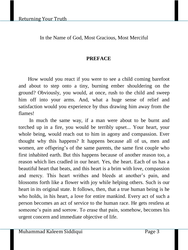#### In the Name of God, Most Gracious, Most Merciful

#### **PREFACE**

How would you react if you were to see a child coming barefoot and about to step onto a tiny, burning ember shouldering on the ground? Obviously, you would, at once, rush to the child and sweep him off into your arms. And, what a huge sense of relief and satisfaction would you experience by thus drawing him away from the flames!

In much the same way, if a man were about to be burnt and torched up in a fire, you would be terribly upset... Your heart, your whole being, would reach out to him in agony and compassion. Ever thought why this happens? It happens because all of us, men and women, are offspring's of the same parents, the same first couple who first inhabited earth. But this happens because of another reason too, a reason which lies cradled in our heart. Yes, the heart. Each of us has a beautiful heart that beats, and this heart is a brim with love, compassion and mercy. This heart writhes and bleeds at another's pain, and blossoms forth like a flower with joy while helping others. Such is our heart in its original state. It follows, then, that a true human being is he who holds, in his heart, a love for entire mankind. Every act of such a person becomes an act of service to the human race. He gets restless at someone's pain and sorrow. To erase that pain, somehow, becomes his urgent concern and immediate objective of life.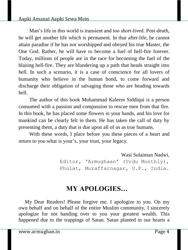#### Aapki Amanat Aapki Sewa Mein

Man's life in this world is transient and too short-lived. Post-death, he will get another life which is permanent. In that after-life, he cannot attain paradise if he has not worshipped and obeyed his true Master, the One God. Rather, he will have to become a fuel of hell-fire forever. Today, millions of people are in the race for becoming the fuel of the blazing hell-fire. They are blundering up a path that heads straight into hell. In such a scenario, it is a case of conscience for all lovers of humanity who believe in the human bond, to come forward and discharge their obligation of salvaging those who are heading towards hell.

The author of this book Muhammad Kaleem Siddiqui is a person consumed with a passion and compassion to rescue men from that fire. In this book, he has placed some flowers in your hands, and his love for mankind can be clearly felt in them. He has taken the call of duty by presenting them, a duty that is due upon all of us as true humans.

With these words, I place before you these pieces of a heart and return to you what is your's, your trust, your legacy.

> Wasi Sulaiman Nadwi, Editor, 'Armughaan' (Urdu Monthly), Phulat, Muzaffarnagar, U.P., India.

# **MY APOLOGIES…**

My Dear Readers! Please forgive me. I apologize to you. On my own behalf and on behalf of the entire Muslim community, I sincerely apologize for not handing over to you your greatest wealth. This happened due to the trappings of Satan. Satan planted in our hearts a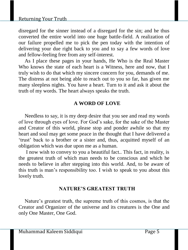disregard for the sinner instead of a disregard for the sin; and he thus converted the entire world into one huge battle-field. A realization of our failure propelled me to pick the pen today with the intention of delivering your due right back to you and to say a few words of love and fellow-feeling free from any self-interest.

As I place these pages in your hands, He Who is the Real Master Who knows the state of each heart is a Witness, here and now, that I truly wish to do that which my sincere concern for you, demands of me. The distress at not being able to reach out to you so far, has given me many sleepless nights. You have a heart. Turn to it and ask it about the truth of my words. The heart always speaks the truth.

# **A WORD OF LOVE**

Needless to say, it is my deep desire that you see and read my words of love through eyes of love. For God's sake, for the sake of the Master and Creator of this world, please stop and ponder awhile so that my heart and soul may get some peace in the thought that I have delivered a 'trust' back to a brother or a sister and, thus, acquitted myself of an obligation which was due upon me as a human.

I now wish to convey to you a beautiful fact.. This fact, in reality, is the greatest truth of which man needs to be conscious and which he needs to believe in after stepping into this world. And, to be aware of this truth is man's responsibility too. I wish to speak to you about this lovely truth.

#### **NATURE'S GREATEST TRUTH**

Nature's greatest truth, the supreme truth of this cosmos, is that the Creator and Organizer of the universe and its creatures is the One and only One Master, One God.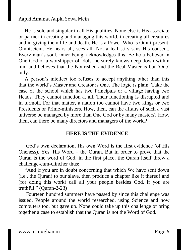He is sole and singular in all His qualities. None else is His associate or partner in creating and managing this world, in creating all creatures and in giving them life and death. He is a Power Who is Omni-present, Omniscient. He hears all, sees all. Not a leaf stirs sans His consent. Every man's soul, inner being, acknowledges this. Be he a believer in One God or a worshipper of idols, he surely knows deep down within him and believes that the Nourished and the Real Master is but 'One' only.

A person's intellect too refuses to accept anything other than this that the world's Master and Creator is One. The logic is plain. Take the case of the school which has two Principals or a village having two Heads. They cannot function at all. Their functioning is disrupted and in turmoil. For that matter, a nation too cannot have two kings or two Presidents or Prime-ministers. How, then, can the affairs of such a vast universe be managed by more than One God or by many masters? How, then, can there be many directors and managers of the world?

#### **HERE IS THE EVIDENCE**

God's own declaration, His own Word is the first evidence (of His Oneness). Yes, His Word – the Quran. But in order to prove that the Quran is the word of God, in the first place, the Quran itself threw a challenge-cum-clincher thus:

"And if you are in doubt concerning that which We have sent down (i.e., the Quran) to our slave, then produce a chapter like it thereof and (for doing this work) call all your people besides God, if you are truthful." (Quran-2-23)

Fourteen hundred summers have passed by since this challenge was issued. People around the world researched, using Science and now computers too, but gave up. None could take up this challenge or bring together a case to establish that the Quran is not the Word of God.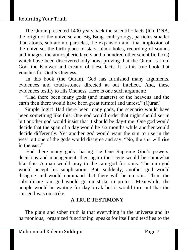#### Returning Your Truth

The Quran presented 1400 years back the scientific facts (like DNA, the origin of the universe and Big Bang, embryology, particles smaller than atoms, sub-atomic particles, the expansion and final implosion of the universe, the birth place of stars, black holes, recording of sounds and images, the atmospheric layers and a hundred other scientific facts) which have been discovered only now, proving that the Quran is from God, the Knower and creator of these facts. It is this true book that vouches for God's Oneness.

In this book (the Quran), God has furnished many arguments, evidences and touch-stones directed at out intellect. And, these evidences testify to His Oneness. Here is one such argument:

"Had there been many gods (and masters) of the heavens and the earth then there would have been great turmoil and unrest." (Quran)

Simple logic! Had there been many gods, the scenario would have been something like this: One god would order that night should set in but another god would insist that it should be day-time. One god would decide that the span of a day would be six months while another would decide differently. Yet another god would want the sun to rise in the west but one of the gods would disagree and say, "No, the sun will rise in the east."

Had there many gods sharing the One Supreme God's powers, decisions and management, then again the scene would be somewhat like this: A man would pray to the rain-god for rains. The rain-god would accept his supplication. But, suddenly, another god would disagree and would command that there will be no rain. Then, the subordinate rain-god would go on strike in protest. Meanwhile, the people would be waiting for day-break but it would turn out that the sun-god was on strike.

# **A TRUE TESTIMONY**

The plain and sober truth is that everything in the universe and its harmonious, organized functioning, speaks for itself and testifies to the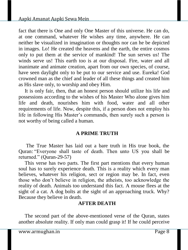fact that there is One and only One Master of this universe. He can do, at one command, whatever He wishes any time, anywhere. He can neither be visualized in imagination or thoughts nor can he be depicted in images. Lo! He created the heavens and the earth, the entire cosmos only to put them at the service of mankind! The sun serves us! The winds serve us! This earth too is at our disposal. Fire, water and all inanimate and animate creation, apart from our own species, of course, have seen daylight only to be put to our service and use. Eureka! God crowned man as the chief and leader of all these things and created him as His slave only, to worship and obey Him.

It is only fair, then, that an honest person should utilize his life and possessions according to the wishes of his Master Who alone gives him life and death, nourishes him with food, water and all other requirements of life. Now, despite this, if a person does not employ his life in following His Master's commands, then surely such a person is not worthy of being called a human.

#### **A PRIME TRUTH**

The True Master has laid out a bare truth in His true book, the Quran: "Everyone shall taste of death. Then unto US you shall be returned." (Quran-29-57)

This verse has two parts. The first part mentions that every human soul has to surely experience death. This is a reality which every man believes, whatever his religion, sect or region may be. In fact, even those who don't believe in religion, the atheists, too acknowledge the reality of death. Animals too understand this fact. A mouse flees at the sight of a cat. A dog bolts at the sight of an approaching truck. Why? Because they believe in death.

#### **AFTER DEATH**

The second part of the above-mentioned verse of the Quran, states another absolute reality. If only man could grasp it! If he could perceive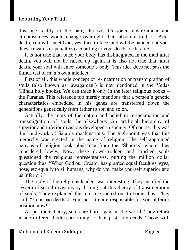this one reality to the hair, the world's social environment and circumstances would change overnight. This absolute truth is: After death, you will meet God, yes, face to face, and will be handed out your dues (rewards or penalties) according to your deeds of this life.

It is not true that, once your body has disintegrated in the mud after death, you will not be raised up again. It is also not true that, after death, your soul will enter someone's body. This idea does not pass the litmus test of man's own intellect.

First of all, this whole concept of re-incarnation or transmigration of souls (also known as 'awagaman') is not mentioned in the Vedas (Hindu holy books). We can trace it only in the later religious books – the Puranas. This reference too merely mentions that a person's genetic characteristics embedded in his genes are transferred down the generations genetically from father to son and so on.

Actually, the roots of the notion and belief in re-incarnation and transmigration of souls, lie elsewhere: An artificial hierarchy of superior and inferior divisions developed in society. Of course, this was the handiwork of Satan's machinations. The high-point was that this hierarchy was erected in the name of religion. The self-appointed patrons of religion took obeisance from the 'Shudras' whom they considered lowly. Now, these down-trodden and crushed souls questioned the religious representatives, putting the million dollar question thus: "When God our Creator has granted equal faculties, eyes, nose, etc equally to all humans, why do you make yourself superior and us inferior?"

The reply of the religious leaders was interesting. They justified the system of social divisions by dishing out this theory of transmigration of souls. They explained the injustice meted out to some thus: They said, "Your bad deeds of your past life are responsible for your inferior position now!"

As per their theory, souls are born again in the world. They return inside different bodies according to their past -life deeds. Those with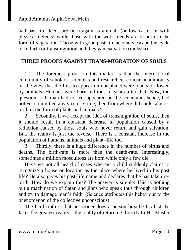bad past-life deeds are born again as animals (or low castes or with physical defects) while those with the worst deeds are re-born in the form of vegetation. Those with good past-life accounts escape the cycle of re-birth or transmigration and they gain salvation (moksha).

#### **THREE PROOFS AGAINST TRANS-MIGRATION OF SOULS**

1. The foremost proof, in this matter, is that the international community of scholars, scientists and researchers concur unanimously on the view that the first to appear on our planet were plants, followed by animals. Humans were born millions of years after that. Now, the question is: If man had not yet appeared on the scene and, hence, had not yet committed any vice or virtue, then from where did souls take rebirth in the form of plants and animals?

2. Secondly, if we accept the idea of transmigration of souls, then it should result in a constant decrease in population caused by a reduction caused by those souls who never return and gain salvation. But, the reality is just the reverse. There is a constant increase in the population of humans, animals and plant -life too.

3. Thirdly, there is a huge difference in the number of births and deaths. The birth-rate is more than the death-rate. Interestingly, sometimes a million mosquitoes are born while only a few die.

Have we not all heard of cases wherein a child suddenly claims to recognize a house or location as the place where he lived in his past life? He also gives his past-life name and declares that he has taken rebirth. How do we explain this? The answer is simple: This is nothing but a machination of Satan and jinns who speak thus through children and try to damage man's faith. (Science attributes this behaviour to the phenomenon of the collective unconscious)

The hard truth is that no sooner does a person breathe his last; he faces the greatest reality – the reality of returning directly to His Master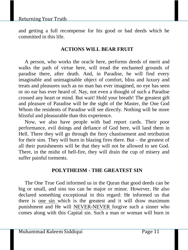and getting a full recompense for his good or bad deeds which he committed in this life.

### **ACTIONS WILL BEAR FRUIT**

A person, who works the oracle here, performs deeds of merit and walks the path of virtue here, will tread the enchanted grounds of paradise there, after death. And, in Paradise, he will find every imaginable and unimaginable object of comfort, bliss and luxury and treats and pleasures such as no man has ever imagined, no eye has seen or no ear has ever heard of. Nay, not even a thought of such a Paradise crossed any heart or mind. But wait! Hold your breath! The greatest gift and pleasure of Paradise will be the sight of the Master, the One God Whom the residents of Paradise will see directly. Nothing will be more blissful and pleasurable than this experience.

Now, we also have people with bad report cards. Their poor performance, evil doings and defiance of God here, will land them in Hell. There they will go through the fiery chastisement and retribution for their sins. They will burn in blazing fires there. But – the greatest of all their punishments will be that they will not be allowed to see God. There, in the midst of hell-fire, they will drain the cup of misery and suffer painful torments.

#### **POLYTHEISM - THE GREATEST SIN**

The One True God informed us in the Quran that good deeds can be big or small, and sins too can be major or minor. However, He also declared something exceptional in this regard: He informed us that there is one sin which is the greatest and it will draw maximum punishment and He will NEVER-NEVER forgive such a sinner who comes along with this Capital sin. Such a man or woman will burn in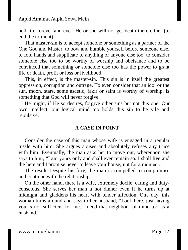hell-fire forever and ever. He or she will not get death there either (to end the torment).

That master-sin is to accept someone or something as a partner of the One God and Master, to bow and humble yourself before someone else, to fold hands and supplicate to anything or anyone else too, to consider someone else too to be worthy of worship and obeisance and to be convinced that something or someone else too has the power to grant life or death, profit or loss or livelihood.

This, in effect, is the master-sin. This sin is in itself the greatest oppression, corruption and outrage. To even consider that an idol or the sun, moon, stars, some ascetic, fakir or saint is worthy of worship, is something that God will never forgive.

He might, if He so desires, forgive other sins but not this one. Our own intellect, our logical mind too holds this sin to be vile and repulsive.

#### **A CASE IN POINT**

Consider the case of this man whose wife is engaged in a regular tussle with him. She argues abuses and absolutely refuses any truce with him. Eventually, the man asks her to move out, whereupon she says to him, "I am yours only and shall ever remain so. I shall live and die here and I promise never to leave your house, not for a moment."

The result: Despite his fury, the man is compelled to compromise and continue with the relationship.

On the other hand, there is a wife, extremely docile, caring and dutyconscious. She serves her man a hot dinner even if he turns up at midnight and gladdens his heart with tender affection. One day, this woman turns around and says to her husband, "Look here, just having you is not sufficient for me. I need that neighbour of mine too as a hushand<sup>"</sup>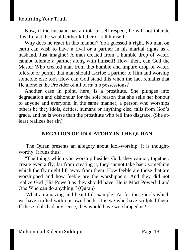#### Returning Your Truth

Now, if the husband has an iota of self-respect, he will not tolerate this. In fact, he would either kill her or kill himself.

Why does he react in this manner? You guessed it right. No man on earth can wish to have a rival or a partner in his marital rights as a husband. Just imagine! A man created from a humble drop of water, cannot tolerate a partner along with himself! How, then, can God the Master Who created man from this humble and impure drop of water, tolerate or permit that man should ascribe a partner to Him and worship someone else too? How can God stand this when the fact remains that He alone is the Provider of all of man's possessions?

Another case in point, here, is a prostitute. She plunges into degradation and dishonour for the sole reason that she sells her honour to anyone and everyone. In the same manner, a person who worships others be they idols, deities, humans or anything else, falls from God's grace, and he is worse than the prostitute who fell into disgrace. (She atleast realizes her sin)

#### **NEGATION OF IDOLATORY IN THE QURAN**

The Quran presents an allegory about idol-worship. It is thoughtworthy. It runs thus:

"The things which you worship besides God, they cannot, together, create even a fly; far from creating it, they cannot take back something which the fly might lift away from them. How feeble are those that are worshipped and how feeble are the worshippers. And they did not realize God (His Power) as they should have; He is Most Powerful and One Who can do anything." (Quran)

What an amazing and beautiful example! As for these idols which we have crafted with our own hands, it is we who have sculpted them. If these idols had any sense, they would have worshipped us!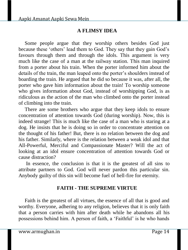### **A FLIMSY IDEA**

Some people argue that they worship others besides God just because these 'others' lead them to God. They say that they gain God's favours through them and through the idols. This argument is very much like the case of a man at the railway station. This man inquired from a porter about his train. When the porter informed him about the details of the train, the man leaped onto the porter's shoulders instead of boarding the train. He argued that he did so because it was, after all, the porter who gave him information about the train! To worship someone who gives information about God, instead of worshipping God, is as ridiculous as the action of the man who climbed onto the porter instead of climbing into the train.

There are some brothers who argue that they keep idols to ensure concentration of attention towards God (during worship). Now, this is indeed strange! This is much like the case of a man who is staring at a dog. He insists that he is doing so in order to concentrate attention on the thought of his father! But, there is no relation between the dog and his father. Similarly, where is the relation between a weak idol and that All-Powerful, Merciful and Compassionate Master? Will the act of looking at an idol ensure concentration of attention towards God or cause distraction?

In essence, the conclusion is that it is the greatest of all sins to attribute partners to God. God will never pardon this particular sin. Anybody guilty of this sin will become fuel of hell-fire for eternity.

#### **FAITH - THE SUPREME VIRTUE**

Faith is the greatest of all virtues, the essence of all that is good and worthy. Everyone, adhering to any religion, believes that it is only faith that a person carries with him after death while he abandons all his possessions behind him. A person of faith, a 'Faithful' is he who hands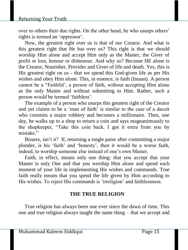over to others their due rights. On the other hand, he who usurps others' rights is termed an 'oppressor'.

Now, the greatest right over us is that of our Creator. And what is this greatest right that He has over us? This right is that we should worship Him alone and accept Him only as the Master, the Giver of profit or loss, honour or dishonour. And why so? Because HE alone is the Creator, Nourisher, Provider and Giver of life and death. Yes, this is His greatest right on us - that we spend this God-given life as per His wishes and obey Him alone. This, in essence, is faith (Imaan). A person cannot be a "Faithful', a person of faith, without accepting Him alone as the only Master and without submitting to Him. Rather, such a person would be termed 'faithless'.

The example of a person who usurps this greatest right of the Creator and yet claims to be a 'man of faith' is similar to the case of a dacoit who commits a major robbery and becomes a millionaire. Then, one day, he walks up to a shop to return a coin and says magnanimously to the shopkeeper, "Take this coin back. I got it extra from you by mistake"

Bizarre, isn't it? If, returning a single paise after committing a major plunder, is his 'faith' and 'honesty', then it would be a worse faith, indeed, to worship someone else instead of one's own Master.

Faith, in effect, means only one thing: that you accept that your Master is only One and that you worship Him alone and spend each moment of your life in implementing His wishes and commands. True faith really means that you spend the life given by Him according to His wishes. To reject His commands is 'irreligion' and faithlessness.

# **THE TRUE RELIGION**

True religion has always been one ever since the dawn of time. This one and true religion always taught the same thing – that we accept and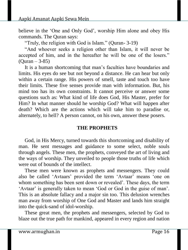believe in the 'One and Only God', worship Him alone and obey His commands. The Quran says:

"Truly, the religion with God is Islam." (Quran- 3-19)

"And whoever seeks a religion other than Islam, it will never be accepted of him, and in the hereafter he will be one of the losers."  $(Quran - 3-85)$ 

It is a human shortcoming that man's faculties have boundaries and limits. His eyes do see but not beyond a distance. He can hear but only within a certain range. His powers of smell, taste and touch too have their limits. These five senses provide man with information. But, his mind too has its own constraints. It cannot perceive or answer some questions such as: What kind of life does God, His Master, prefer for Him? In what manner should he worship God? What will happen after death? Which are the actions which will take him to paradise or, alternately, to hell? A person cannot, on his own, answer these posers.

#### **THE PROPHETS**

God, in His Mercy, turned towards this shortcoming and disability of man. He sent messages and guidance to some select, noble souls through angels. These men, the prophets, conveyed the art of living and the ways of worship. They unveiled to people those truths of life which were out of bounds of the intellect.

These men were known as prophets and messengers. They could also be called 'Avtaars' provided the term 'Avtaar' means 'one on whom something has been sent down or revealed'. These days, the term 'Avtaar' is generally taken to mean 'God or God in the guise of man'. This is an absolute fallacy and a major sin too. This delusion wrenches man away from worship of One God and Master and lands him straight into the quick-sand of idol-worship.

These great men, the prophets and messengers, selected by God to blaze out the true path for mankind, appeared in every region and nation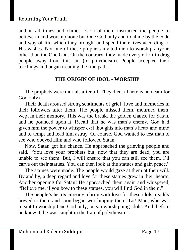#### Returning Your Truth

and in all times and climes. Each of them instructed the people to believe in and worship none but One God only and to abide by the code and way of life which they brought and spend their lives according to His wishes. Not one of these prophets invited men to worship anyone other than the One God. On the contrary, they made every effort to drag people away from this sin (of polytheism). People accepted their teachings and began treading the true path.

#### **THE ORIGIN OF IDOL - WORSHIP**

The prophets were mortals after all. They died. (There is no death for God only)

Their death aroused strong sentiments of grief, love and memories in their followers after them. The people missed them, mourned them, wept in their memory. This was the break, the golden chance for Satan, and he pounced upon it. Recall that he was man's enemy. God had given him the power to whisper evil thoughts into man's heart and mind and to tempt and lead him astray. Of course, God wanted to test man to see who obeyed Him and who followed Satan.

Now, Satan got his chance. He approached the grieving people and said, "You love your prophets but, now that they are dead, you are unable to see them. But, I will ensure that you can still see them. I'll carve out their statues. You can then look at the statues and gain peace."

The statues were made. The people would gaze at them at their will. By and by, a deep regard and love for these statues grew in their hearts. Another opening for Satan! He approached them again and whispered, "Believe me, if you bow to these statues, you will find God in them."

The people's hearts, already a brim with love for these idols, readily bowed to them and soon began worshipping them. Lo! Man, who was meant to worship One God only, began worshipping idols. And, before he knew it, he was caught in the trap of polytheism.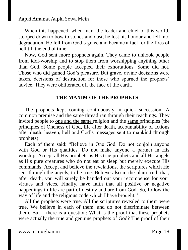When this happened, when man, the leader and chief of this world, stooped down to bow to stones and dust, he lost his honour and fell into degradation. He fell from God's grace and became a fuel for the fires of hell till the end of time.

Now, God sent more prophets again. They came to unhook people from idol-worship and to stop them from worshipping anything other than God. Some people accepted their exhortations. Some did not. Those who did gained God's pleasure. But grave, divine decisions were taken, decisions of destruction for those who spurned the prophets' advice. They were obliterated off the face of the earth.

#### **THE MAXIM OF THE PROPHETS**

The prophets kept coming continuously in quick succession. A common premise and the same thread ran through their teachings. They invited people to one and the same religion and the same principles (the principles of Oneness of God, life after death, accountability of actions after death, heaven, hell and God's messages sent to mankind through prophets)

Each of them said: "Believe in One God. Do not conjoin anyone with God or His qualities. Do not make anyone a partner in His worship. Accept all His prophets as His true prophets and all His angels as His pure creatures who do not eat or sleep but merely execute His commands. Accept and believe the revelations, the scriptures which He sent through the angels, to be true. Believe also in the plain truth that, after death, you will surely be handed out your recompense for your virtues and vices. Finally, have faith that all positive or negative happenings in life are part of destiny and are from God. So, follow the way of life and the religious code which I have brought."

All the prophets were true. All the scriptures revealed to them were true. We believe in each of them, and do not discriminate between them. But – there is a question: What is the proof that these prophets were actually the true and genuine prophets of God? The proof of their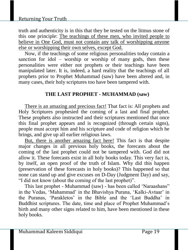truth and authenticity is in this that they be tested on the litmus stone of this one principle: The teachings of these men, who invited people to believe in One God, must not contain any talk of worshipping anyone else or worshipping their own selves, except God.

Now, if the teachings of some religious personalities today contain a sanction for idol – worship or worship of many gods, then these personalities were either not prophets or their teachings have been manipulated later. It is, indeed, a hard reality that the teachings of all prophets prior to Prophet Muhammad (saw) have been altered and, in many cases, their holy scriptures too have been tampered with.

# **THE LAST PROPHET - MUHAMMAD (saw)**

There is an amazing and precious fact! That fact is: All prophets and Holy Scriptures prophesied the coming of a last and final prophet. These prophets also instructed and their scriptures mentioned that once this final prophet appears and is recognized (through certain signs), people must accept him and his scripture and code of religion which he brings, and give up all earlier religious laws.

But, there is another amazing fact here! This fact is that despite major changes in all previous holy books, the forecasts about the coming of the last prophet could not be tampered with. God did not allow it. These forecasts exist in all holy books today. This very fact is, by itself, an open proof of the truth of Islam. Why did this happen (preservation of these forecasts in holy books)? This happened so that none can stand up and give excuses on D-Day (Judgment Day) and say, "I did not know (about the coming of the last prophet)".

This last prophet - Muhammad (saw) - has been called 'Naraashans" in the Vedas, 'Mahammad' in the Bhavishya Purana, 'Kalki-Avtaar' in the Puranas, 'Parakletos' in the Bible and the 'Last Buddha' in Buddhist scriptures. The date, time and place of Prophet Muhammad's birth and many other signs related to him, have been mentioned in these holy books.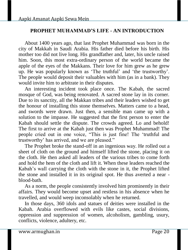#### **PROPHET MUHAMMAD'S LIFE - AN INTRODUCTION**

About 1400 years ago, that last Prophet Muhammad was born in the city of Makkah in Saudi Arabia. His father died before his birth. His mother too did not live long. His grandfather and, later, his uncle raised him. Soon, this most extra-ordinary person of the world became the apple of the eyes of the Makkans. Their love for him grew as he grew up. He was popularly known as 'The truthful' and 'the trustworthy'. The people would deposit their valuables with him (as in a bank). They would invite him to arbitrate in their disputes.

An interesting incident took place once. The Kabah, the sacred mosque of God, was being renovated. A sacred stone lay in its corner. Due to its sanctity, all the Makkan tribes and their leaders wished to get the honour of installing this stone themselves. Matters came to a head, and swords were drawn. Just then, a sensible man came up with a solution to the impasse. He suggested that the first person to enter the Kabah should settle the dispute. The crowds agreed. Lo and behold! The first to arrive at the Kabah just then was Prophet Muhammad! The people cried out in one voice, "This is just fine! The 'truthful and trustworthy' has arrived, and we are pleased."

The Prophet broke the stand-off in an ingenious way. He rolled out a sheet of cloth on the ground and himself lifted the stone, placing it on the cloth. He then asked all leaders of the various tribes to come forth and hold the hem of the cloth and lift it. When these leaders reached the Kabah's wall carrying the cloth with the stone in it, the Prophet lifted the stone and installed it in its original spot. He thus averted a near blood-bath.

As a norm, the people consistently involved him prominently in their affairs. They would become upset and restless in his absence when he travelled, and would weep inconsolably when he returned.

In those days, 360 idols and statues of deities were installed in the Kabah. Arabia overflowed with evils like castes, social divisions, oppression and suppression of women, alcoholism, gambling, usury, conflicts, violence, adultery, etc.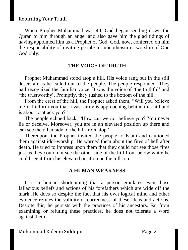When Prophet Muhammad was 40, God began sending down the Quran to him through an angel and also gave him the glad tidings of having appointed him as a Prophet of God. God, now, conferred on him the responsibility of inviting people to monotheism or worship of One God only.

#### **THE VOICE OF TRUTH**

Prophet Muhammad stood atop a hill. His voice rang out in the still desert air as he called out to the people. The people responded. They had recognized the familiar voice. It was the voice of 'the truthful' and 'the trustworthy'. Promptly, they rushed to the bottom of the hill.

From the crest of the hill, the Prophet asked them, "Will you believe me if I inform you that a vast army is approaching behind this hill and is about to attack you?"

The people echoed back, "How can we not believe you? You never lie or deceive. Moreover, you are in an elevated position up there and can see the other side of the hill from atop."

Thereupon, the Prophet invited the people to Islam and cautioned them against idol-worship. He warned them about the fires of hell after death. He tried to impress upon them that they could not see those fires just as they could not see the other side of the hill from below while he could see it from his elevated position on the hill-top.

# **A HUMAN WEAKNESS**

It is a human shortcoming that a person emulates even those fallacious beliefs and actions of his forefathers which are wide off the mark .He does so despite the fact that his own logical mind and other evidence refutes the validity or correctness of these ideas and actions. Despite this, he persists with the practices of his ancestors. Far from examining or refuting these practices, he does not tolerate a word against them.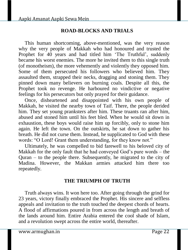### **ROAD-BLOCKS AND TRIALS**

This human shortcoming, above-mentioned, was the very reason why the very people of Makkah who had honoured and trusted the Prophet for 40 years and had titled him 'The Truthful', suddenly became his worst enemies. The more he invited them to this single truth (of monotheism), the more vehemently and violently they opposed him. Some of them persecuted his followers who believed him. They assaulted them, strapped their necks, dragging and stoning them. They pinned down many believers on burning coals. Despite all this, the Prophet took no revenge. He harboured no vindictive or negative feelings for his persecutors but only prayed for their guidance.

Once, disheartened and disappointed with his own people of Makkah, he visited the nearby town of Taif. There, the people derided him. They set young pranksters after him. These truants ran after him, abused and stoned him until his feet bled. When he would sit down in exhaustion, these boys would raise him up forcibly, only to stone him again. He left the town. On the outskirts, he sat down to gather his breath. He did not curse them. Instead, he supplicated to God with these words: "O Lord! Grant them understanding, for they know not."

Ultimately, he was compelled to bid farewell to his beloved city of Makkah for the only fault that he had conveyed God's pure words – the Quran – to the people there. Subsequently, he migrated to the city of Madina. However, the Makkan armies attacked him there too repeatedly.

#### **THE TRIUMPH OF TRUTH**

Truth always wins. It won here too. After going through the grind for 23 years, victory finally embraced the Prophet. His sincere and selfless appeals and invitation to the truth touched the deepest chords of hearts. A flood of affirmations poured in from across the length and breath of the lands around him. Entire Arabia entered the cool shade of Islam, and a revolution swept across the entire world, thereafter.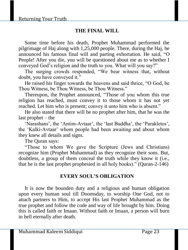# **THE FINAL WILL**

Some time before his death, Prophet Muhammad performed the pilgrimage of Haj along with 1,25,000 people. There, during the Haj, he announced his famous final will and parting exhortation. He said, "O People! After you die, you will be questioned about me as to whether I conveyed God's religion and the truth to you. What will you say?"

The surging crowds responded, "We bear witness that, without doubt, you have conveyed it."

He raised his finger towards the heavens and said thrice, "O God, be Thou Witness, be Thou Witness, be Thou Witness."

Thereupon, the Prophet announced, "Those of you whom this true religion has reached, must convey it to those whom it has not yet reached. Let him who is present; convey it unto him who is absent."

He also stated that there will be no prophet after him, that he was the last prophet – the

'Narashans', the 'Antim-Avtaar', the 'last Buddha', the 'Parakletos', the 'Kalki-Avtaar' whom people had been awaiting and about whom they knew all details and signs.

The Quran says:

"Those to whom We gave the Scripture (Jews and Christians) recognize him (Prophet Muhammad) as they recognize their sons. But, doubtless, a group of them conceal the truth while they know it (i.e., that he is the last prophet prophesied in all holy books)." (Quran-2-146)

#### **EVERY SOUL'S OBLIGATION**

It is now the bounden duty and a religious and human obligation upon every human soul till Doomsday, to worship One God, not to attach partners to Him, to accept His last Prophet Muhammad as the true prophet and follow the code and way of life brought by him. Doing this is called faith or Imaan. Without faith or Imaan, a person will burn in hell eternally after death.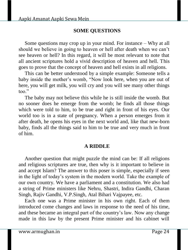# **SOME QUESTIONS**

Some questions may crop up in your mind. For instance – Why at all should we believe in going to heaven or hell after death when we can't see heaven or hell? In this regard, it will be most relevant to note that all ancient scriptures hold a vivid description of heaven and hell. This goes to prove that the concept of heaven and hell exists in all religions.

This can be better understood by a simple example: Someone tells a baby inside the mother's womb, "Now look here, when you are out of here, you will get milk, you will cry and you will see many other things too."

The baby may not believe this while he is still inside the womb. But no sooner does he emerge from the womb; he finds all those things which were told to him, to be true and right in front of his eyes. Our world too is in a state of pregnancy. When a person emerges from it after death, he opens his eyes in the next world and, like that new-born baby, finds all the things said to him to be true and very much in front of him.

#### **A RIDDLE**

Another question that might puzzle the mind can be: If all religions and religious scriptures are true, then why is it important to believe in and accept Islam? The answer to this poser is simple, especially if seen in the light of today's system in the modern world. Take the example of our own country. We have a parliament and a constitution. We also had a string of Prime ministers like Nehru, Shastri, Indira Gandhi, Charan Singh, Rajiv Gandhi, V.P.Singh, Atal Bihari Vajpayee, etc.

Each one was a Prime minister in his own right. Each of them introduced come changes and laws in response to the need of his time, and these became an integral part of the country's law. Now any change made in this law by the present Prime minister and his cabinet will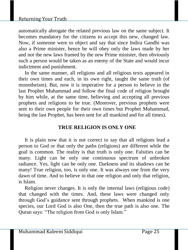#### Returning Your Truth

automatically abrogate the related previous law on the same subject. It becomes mandatory for the citizens to accept this new, changed law. Now, if someone were to object and say that since Indira Gandhi was also a Prime minister, hence he will obey only the laws made by her and not the new laws framed by the new Prime minister, then obviously such a person would be taken as an enemy of the State and would incur indictment and punishment.

In the same manner, all religions and all religious texts appeared in their own times and each, in its own right, taught the same truth (of monotheism). But, now it is imperative for a person to believe in the last Prophet Muhammad and follow the final code of religion brought by him while, at the same time, believing and accepting all previous prophets and religions to be true. (Moreover, previous prophets were sent to their own people for their own times but Prophet Muhammad, being the last Prophet, has been sent for all mankind and for all times).

#### **TRUE RELIGION IS ONLY ONE**

It is plain now that it is not correct to say that all religions lead a person to God or that only the paths (religions) are different while the goal is common. The reality is that truth is only one. Falsities can be many. Light can be only one continuous spectrum of unbroken radiance. Yes, light can be only one. Darkness and its shadows can be many! True religion, too, is only one. It was always one from the very dawn of time. And to believe in that one religion and only that religion, is Islam.

Religion never changes. It is only the internal laws (religious code) that changed with the times. And, these laws were changed only through God's guidance sent through prophets. When mankind is one species, our Lord God is also One, then the true path is also one. The Quran says: "The religion from God is only Islam."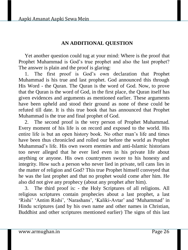# **AN ADDITIONAL QUESTION**

Yet another question could tug at your mind: Where is the proof that Prophet Muhammad is God's true prophet and also the last prophet? The answer is plain and the proof is glaring:

1. The first proof is God's own declaration that Prophet Muhammad is his true and last prophet. God announced this through His Word - the Quran. The Quran is the word of God. Now, to prove that the Quran is the word of God, in the first place, the Quran itself has given evidences and arguments as mentioned earlier. These arguments have been upheld and stood their ground as none of these could be refuted till date. It is this true book that has announced that Prophet Muhammad is the true and final prophet of God.

2. The second proof is the very person of Prophet Muhammad. Every moment of his life is on record and exposed to the world. His entire life is but an open history book. No other man's life and times have been thus chronicled and rolled our before the world as Prophet Muhammad's life. His own sworn enemies and anti-Islamic historians too never alleged that he ever lied even in his private life about anything or anyone. His own countrymen swore to his honesty and integrity. How such a person who never lied in private, tell cans lies in the matter of religion and God? This true Prophet himself conveyed that he was the last prophet and that no prophet would come after him. He also did not give any prophecy (about any prophet after him).

3. The third proof is: - the Holy Scriptures of all religions. All religious scriptures contain prophecies about a last prophet, a last 'Rishi' 'Antim Rishi', 'Narashans', 'Kaliki-Avtar' and 'Muhammad' in Hindu scriptures (and by his own name and other names in Christian, Buddhist and other scriptures mentioned earlier) The signs of this last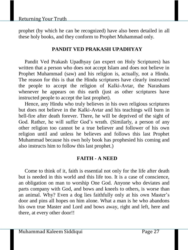prophet (by which he can be recognized) have also been detailed in all these holy books, and they conform to Prophet Muhammad only.

# **PANDIT VED PRAKASH UPADHYAY**

Pandit Ved Prakash Upadhyay (an expert on Holy Scriptures) has written that a person who does not accept Islam and does not believe in Prophet Muhammad (saw) and his religion is, actually, not a Hindu. The reason for this is that the Hindu scriptures have clearly instructed the people to accept the religion of Kalki-Avtar, the Narashans whenever he appears on this earth (just as other scriptures have instructed people to accept the last prophet).

Hence, any Hindu who truly believes in his own religious scriptures but does not believe in the Kalki-Avtar and his teachings will burn in hell-fire after death forever. There, he will be deprived of the sight of God. Rather, he will suffer God's wrath. (Similarly, a person of any other religion too cannot be a true believer and follower of his own religion until and unless he believes and follows this last Prophet Muhammad because his own holy book has prophesied his coming and also instructs him to follow this last prophet.)

# **FAITH - A NEED**

Come to think of it, faith is essential not only for the life after death but is needed in this world and this life too. It is a case of conscience, an obligation on man to worship One God. Anyone who deviates and parts company with God, and bows and kneels to others, is worse than an animal. Why? Even a dog lies faithfully only at his own Master's door and pins all hopes on him alone. What a man is he who abandons his own true Master and Lord and bows away, right and left, here and there, at every other door!!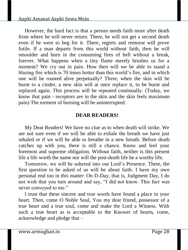However, the hard fact is that a person needs faith more after death from where he will never return. There, he will not get a second death even if he were to beg for it. There, regrets and remorse will prove futile. If a man departs from this world without faith, then he will smoulder and burn in the consuming fires of hell without a break, forever. What happens when a tiny flame merely brushes us for a moment? We cry out in pain. How then will we be able to stand a blazing fire which is 70 times hotter than this world's fire, and in which one will be roasted alive perpetually? There, when the skin will be burnt to a cinder, a new skin will at once replace it, to be burnt and replaced again. This process will be repeated continually. (Today, we know that pain - receptors are in the skin and the skin feels maximum pain) The torment of burning will be uninterrupted.

#### **DEAR READERS!**

My Dear Readers! We have no clue as to when death will strike. We are not sure even if we will be able to exhale the breath we have just inhaled or if we will be able to breathe in a new breath. Before death catches up with you, there is still a chance. Know and feel your foremost and supreme obligation. Without faith, neither is this present life a life worth the name nor will the post-death life be a worthy life.

Tomorrow, we will be ushered into our Lord's Presence. There, the first question to be asked of us will be about faith. I have my own personal end too in this matter: On D-Day, that is, Judgment Day, I do not wish that you turn around and say, "I did not know. This fact was never conveyed to me."

I trust that these sincere and true words have found a place in your heart. Then, come O Noble Soul, You my dear friend, possessor of a true heart and a true soul, come and make the Lord a Witness. With such a true heart as is acceptable to the Knower of hearts, come, acknowledge and pledge that –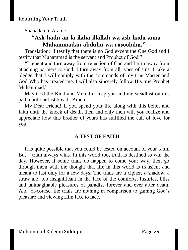Shahadah in Arabic

# **"Ash-hadu-an-la-ilaha-illallah-wa-ash-hadu-anna-Muhammadan-abduhu-wa-rasooluhu."**

Translation: "I testify that there is no God except the One God and I testify that Muhammad is the servant and Prophet of God."

"I repent and turn away from rejection of God and I turn away from attaching partners to God. I turn away from all types of sins. I take a pledge that I will comply with the commands of my true Master and God Who has created me. I will also sincerely follow His true Prophet Muhammad."

May God the Kind and Merciful keep you and me steadfast on this path until our last breath. Amen.

My Dear Friend! If you spend your life along with this belief and faith until the knock of death, then and only then will you realize and appreciate how this brother of yours has fulfilled the call of love for you.

# **A TEST OF FAITH**

It is quite possible that you could be tested on account of your faith. But – truth always wins. In this world too, truth is destined to win the day. However, if some trials do happen to come your way, then go through them with the thought that life in this world is transient and meant to last only for a few days. The trials are a cipher, a shadow, a straw and too insignificant in the face of the comforts, luxuries, bliss and unimaginable pleasures of paradise forever and ever after death. And, of-course, the trials are nothing in comparison to gaining God's pleasure and viewing Him face to face.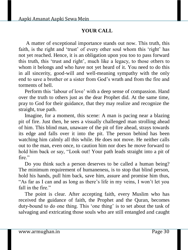# **YOUR CALL**

A matter of exceptional importance stands out now. This truth, this faith, is the right and 'trust' of every other soul whom this 'right' has not yet reached. Hence, it is an obligation upon you too to pass forward this truth, this 'trust and right', much like a legacy, to those others to whom it belongs and who have not yet heard of it. You need to do this in all sincerity, good-will and well-meaning sympathy with the only end to save a brother or a sister from God's wrath and from the fire and torments of hell.

Perform this 'labour of love' with a deep sense of compassion. Hand over the truth to others just as the dear Prophet did. At the same time, pray to God for their guidance, that they may realize and recognize the straight, true path.

Imagine, for a moment, this scene: A man is pacing near a blazing pit of fire. Just then, he sees a visually challenged man strolling ahead of him. This blind man, unaware of the pit of fire ahead, strays towards its edge and falls over it into the pit. The person behind has been watching him calmly all this while. He does not move. He neither calls out to the man, even once, to caution him nor does he move forward to hold him back or say, "Look out! Your path leads straight into a pit of fire"

Do you think such a person deserves to be called a human being? The minimum requirement of humaneness, is to stop that blind person, hold his hands, pull him back, save him, assure and promise him thus, "As far as I can and as long as there's life in my veins, I won't let you fall in the fire."

The point is clear. After accepting faith, every Muslim who has received the guidance of faith, the Prophet and the Quran, becomes duty-bound to do one thing. This 'one thing' is to set about the task of salvaging and extricating those souls who are still entangled and caught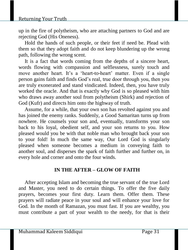up in the fire of polytheism, who are attaching partners to God and are rejecting God (His Oneness).

Hold the hands of such people, or their feet if need be. Plead with them so that they adopt faith and do not keep blundering up the wrong path, following the wrong scent.

It is a fact that words coming from the depths of a sincere heart, words flowing with compassion and selflessness, surely touch and move another heart. It's a 'heart-to-heart' matter. Even if a single person gains faith and finds God's real, true door through you, then you are truly exonerated and stand vindicated. Indeed, then, you have truly worked the oracle. And that is exactly why God is so pleased with him who draws away another soul from polytheism (Shirk) and rejection of God (Kufr) and directs him onto the highway of truth.

Assume, for a while, that your own son has revolted against you and has joined the enemy ranks. Suddenly, a Good Samaritan turns up from nowhere. He counsels your son and, eventually, transforms your son back to his loyal, obedient self, and your son returns to you. How pleased would you be with that noble man who brought back your son to your fold! In much the same way, Our Lord God is singularly pleased when someone becomes a medium in conveying faith to another soul, and disperses the spark of faith further and further on, in every hole and corner and onto the four winds.

#### **IN THE AFTER – GLOW OF FAITH**

After accepting Islam and becoming the true servant of the true Lord and Master, you need to do certain things. To offer the five daily prayers, becomes your first duty. Learn them. Offer them. These prayers will radiate peace in your soul and will enhance your love for God. In the month of Ramazan, you must fast. If you are wealthy, you must contribute a part of your wealth to the needy, for that is their